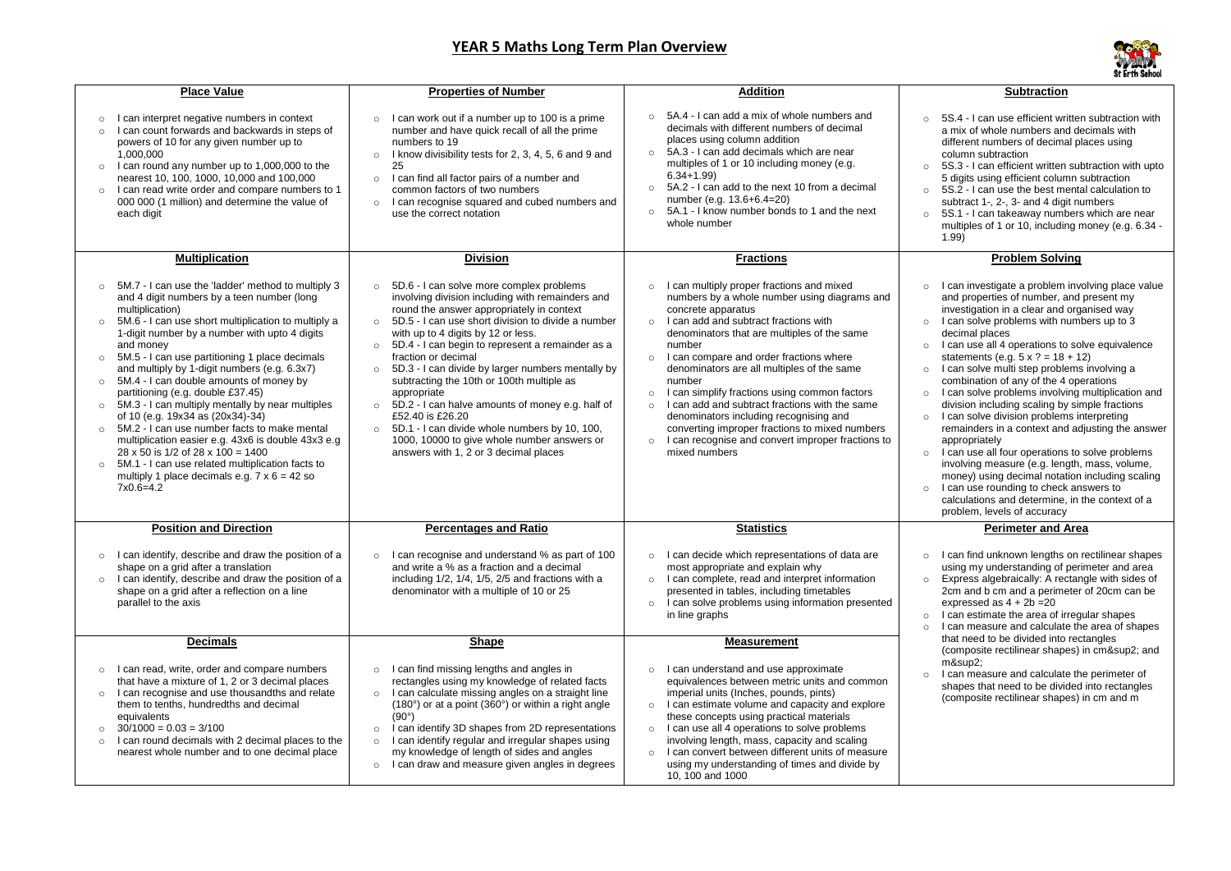## **YEAR 5 Maths Long Term Plan Overview**

5S.4 - I can use efficient written subtraction with a mix of whole numbers and decimals with different numbers of decimal places using column subtraction

5S.3 - I can efficient written subtraction with upto 5 digits using efficient column subtraction 5S.2 - I can use the best mental calculation to subtract 1-, 2-, 3- and 4 digit numbers 5S.1 - I can takeaway numbers which are near multiples of 1 or 10, including money (e.g. 6.34 - 1.99)

## **Subtraction**

I can investigate a problem involving place value and properties of number, and present my investigation in a clear and organised way I can solve problems with numbers up to 3 decimal places

I can use all 4 operations to solve equivalence statements (e.g.  $5 \times ? = 18 + 12$ )

I can solve multi step problems involving a combination of any of the 4 operations I can solve problems involving multiplication and division including scaling by simple fractions I can solve division problems interpreting

I can use all four operations to solve problems involving measure (e.g. length, mass, volume, money) using decimal notation including scaling I can use rounding to check answers to calculations and determine, in the context of a problem, levels of accuracy

 $m$ &sup $2$ ; I can measure and calculate the perimeter of shapes that need to be divided into rectangles (composite rectilinear shapes) in cm and m

| <b>Place Value</b>                                                                                                                                                                                                                                                                                                                                                                                                                                                                                                                                                                                                                                                                                                                                                                                                                         | <b>Properties of Number</b>                                                                                                                                                                                                                                                                                                                                                                                                                                                                                                                                                                                                                                                                                          | <b>Addition</b>                                                                                                                                                                                                                                                                                                                                                                                                                                                                                                                                                                                                                                  |
|--------------------------------------------------------------------------------------------------------------------------------------------------------------------------------------------------------------------------------------------------------------------------------------------------------------------------------------------------------------------------------------------------------------------------------------------------------------------------------------------------------------------------------------------------------------------------------------------------------------------------------------------------------------------------------------------------------------------------------------------------------------------------------------------------------------------------------------------|----------------------------------------------------------------------------------------------------------------------------------------------------------------------------------------------------------------------------------------------------------------------------------------------------------------------------------------------------------------------------------------------------------------------------------------------------------------------------------------------------------------------------------------------------------------------------------------------------------------------------------------------------------------------------------------------------------------------|--------------------------------------------------------------------------------------------------------------------------------------------------------------------------------------------------------------------------------------------------------------------------------------------------------------------------------------------------------------------------------------------------------------------------------------------------------------------------------------------------------------------------------------------------------------------------------------------------------------------------------------------------|
| I can interpret negative numbers in context<br>$\circ$<br>I can count forwards and backwards in steps of<br>$\circ$<br>powers of 10 for any given number up to<br>1,000,000<br>I can round any number up to 1,000,000 to the<br>$\circ$<br>nearest 10, 100, 1000, 10,000 and 100,000<br>I can read write order and compare numbers to 1<br>$\circ$<br>000 000 (1 million) and determine the value of<br>each digit                                                                                                                                                                                                                                                                                                                                                                                                                         | I can work out if a number up to 100 is a prime<br>$\circ$<br>number and have quick recall of all the prime<br>numbers to 19<br>I know divisibility tests for 2, 3, 4, 5, 6 and 9 and<br>$\circ$<br>25<br>I can find all factor pairs of a number and<br>$\circ$<br>common factors of two numbers<br>I can recognise squared and cubed numbers and<br>$\circ$<br>use the correct notation                                                                                                                                                                                                                                                                                                                            | 5A.4 - I can add a mix of whole numbers and<br>$\circ$<br>decimals with different numbers of decimal<br>places using column addition<br>5A.3 - I can add decimals which are near<br>$\circ$<br>multiples of 1 or 10 including money (e.g.<br>$6.34 + 1.99$<br>5A.2 - I can add to the next 10 from a decimal<br>$\circ$<br>number (e.g. 13.6+6.4=20)<br>5A.1 - I know number bonds to 1 and the next<br>$\circ$<br>whole number                                                                                                                                                                                                                  |
| <b>Multiplication</b>                                                                                                                                                                                                                                                                                                                                                                                                                                                                                                                                                                                                                                                                                                                                                                                                                      | <b>Division</b>                                                                                                                                                                                                                                                                                                                                                                                                                                                                                                                                                                                                                                                                                                      | <b>Fractions</b>                                                                                                                                                                                                                                                                                                                                                                                                                                                                                                                                                                                                                                 |
| 5M.7 - I can use the 'ladder' method to multiply 3<br>and 4 digit numbers by a teen number (long<br>multiplication)<br>5M.6 - I can use short multiplication to multiply a<br>1-digit number by a number with upto 4 digits<br>and money<br>5M.5 - I can use partitioning 1 place decimals<br>and multiply by 1-digit numbers (e.g. 6.3x7)<br>5M.4 - I can double amounts of money by<br>$\circ$<br>partitioning (e.g. double £37.45)<br>5M.3 - I can multiply mentally by near multiples<br>$\circ$<br>of 10 (e.g. 19x34 as (20x34)-34)<br>5M.2 - I can use number facts to make mental<br>$\circ$<br>multiplication easier e.g. 43x6 is double 43x3 e.g<br>$28 \times 50$ is 1/2 of 28 x 100 = 1400<br>5M.1 - I can use related multiplication facts to<br>$\circ$<br>multiply 1 place decimals e.g. $7 \times 6 = 42$ so<br>$7x0.6=4.2$ | 5D.6 - I can solve more complex problems<br>$\circ$<br>involving division including with remainders and<br>round the answer appropriately in context<br>5D.5 - I can use short division to divide a number<br>$\circ$<br>with up to 4 digits by 12 or less.<br>5D.4 - I can begin to represent a remainder as a<br>$\circ$<br>fraction or decimal<br>5D.3 - I can divide by larger numbers mentally by<br>$\circ$<br>subtracting the 10th or 100th multiple as<br>appropriate<br>5D.2 - I can halve amounts of money e.g. half of<br>$\circ$<br>£52.40 is £26.20<br>5D.1 - I can divide whole numbers by 10, 100,<br>$\circ$<br>1000, 10000 to give whole number answers or<br>answers with 1, 2 or 3 decimal places | I can multiply proper fractions and mixed<br>numbers by a whole number using diagrams and<br>concrete apparatus<br>I can add and subtract fractions with<br>$\circ$<br>denominators that are multiples of the same<br>number<br>I can compare and order fractions where<br>$\circ$<br>denominators are all multiples of the same<br>number<br>I can simplify fractions using common factors<br>$\circ$<br>I can add and subtract fractions with the same<br>$\circ$<br>denominators including recognising and<br>converting improper fractions to mixed numbers<br>I can recognise and convert improper fractions to<br>$\circ$<br>mixed numbers |
| <b>Position and Direction</b>                                                                                                                                                                                                                                                                                                                                                                                                                                                                                                                                                                                                                                                                                                                                                                                                              | <b>Percentages and Ratio</b>                                                                                                                                                                                                                                                                                                                                                                                                                                                                                                                                                                                                                                                                                         | <b>Statistics</b>                                                                                                                                                                                                                                                                                                                                                                                                                                                                                                                                                                                                                                |
| I can identify, describe and draw the position of a<br>$\circ$<br>shape on a grid after a translation<br>I can identify, describe and draw the position of a<br>$\circ$<br>shape on a grid after a reflection on a line<br>parallel to the axis                                                                                                                                                                                                                                                                                                                                                                                                                                                                                                                                                                                            | I can recognise and understand % as part of 100<br>$\circ$<br>and write a % as a fraction and a decimal<br>including 1/2, 1/4, 1/5, 2/5 and fractions with a<br>denominator with a multiple of 10 or 25                                                                                                                                                                                                                                                                                                                                                                                                                                                                                                              | I can decide which representations of data are<br>$\circ$<br>most appropriate and explain why<br>I can complete, read and interpret information<br>$\circ$<br>presented in tables, including timetables<br>I can solve problems using information presented<br>$\circ$<br>in line graphs                                                                                                                                                                                                                                                                                                                                                         |
| <b>Decimals</b>                                                                                                                                                                                                                                                                                                                                                                                                                                                                                                                                                                                                                                                                                                                                                                                                                            | <b>Shape</b>                                                                                                                                                                                                                                                                                                                                                                                                                                                                                                                                                                                                                                                                                                         | <b>Measurement</b>                                                                                                                                                                                                                                                                                                                                                                                                                                                                                                                                                                                                                               |
| I can read, write, order and compare numbers<br>$\circ$<br>that have a mixture of 1, 2 or 3 decimal places<br>I can recognise and use thousandths and relate<br>$\circ$<br>them to tenths, hundredths and decimal<br>equivalents<br>$30/1000 = 0.03 = 3/100$<br>$\circ$<br>I can round decimals with 2 decimal places to the<br>$\circ$<br>nearest whole number and to one decimal place                                                                                                                                                                                                                                                                                                                                                                                                                                                   | I can find missing lengths and angles in<br>$\circ$<br>rectangles using my knowledge of related facts<br>I can calculate missing angles on a straight line<br>$\circ$<br>$(180^\circ)$ or at a point $(360^\circ)$ or within a right angle<br>$(90^{\circ})$<br>I can identify 3D shapes from 2D representations<br>$\circ$<br>I can identify regular and irregular shapes using<br>$\circ$<br>my knowledge of length of sides and angles<br>I can draw and measure given angles in degrees<br>$\circ$                                                                                                                                                                                                               | I can understand and use approximate<br>$\circ$<br>equivalences between metric units and common<br>imperial units (Inches, pounds, pints)<br>I can estimate volume and capacity and explore<br>$\circ$<br>these concepts using practical materials<br>I can use all 4 operations to solve problems<br>$\circ$<br>involving length, mass, capacity and scaling<br>I can convert between different units of measure<br>$\circ$<br>using my understanding of times and divide by<br>10, 100 and 1000                                                                                                                                                |



## **Problem Solving**

remainders in a context and adjusting the answer appropriately

## **Perimeter and Area**

I can find unknown lengths on rectilinear shapes using my understanding of perimeter and area Express algebraically: A rectangle with sides of 2cm and b cm and a perimeter of 20cm can be expressed as  $4 + 2b = 20$ 

I can estimate the area of irregular shapes I can measure and calculate the area of shapes that need to be divided into rectangles (composite rectilinear shapes) in cm² and